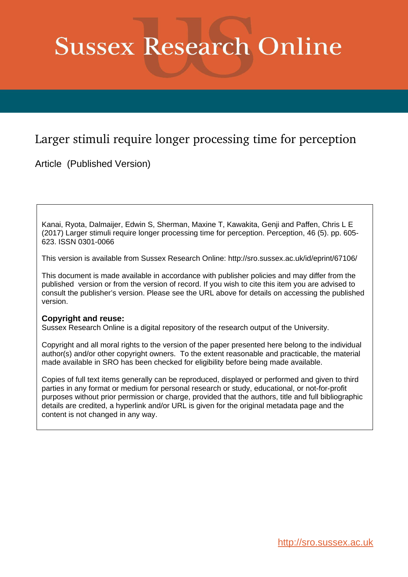# **Sussex Research Online**

# Larger stimuli require longer processing time for perception

Article (Published Version)

Kanai, Ryota, Dalmaijer, Edwin S, Sherman, Maxine T, Kawakita, Genji and Paffen, Chris L E (2017) Larger stimuli require longer processing time for perception. Perception, 46 (5). pp. 605- 623. ISSN 0301-0066

This version is available from Sussex Research Online: http://sro.sussex.ac.uk/id/eprint/67106/

This document is made available in accordance with publisher policies and may differ from the published version or from the version of record. If you wish to cite this item you are advised to consult the publisher's version. Please see the URL above for details on accessing the published version.

# **Copyright and reuse:**

Sussex Research Online is a digital repository of the research output of the University.

Copyright and all moral rights to the version of the paper presented here belong to the individual author(s) and/or other copyright owners. To the extent reasonable and practicable, the material made available in SRO has been checked for eligibility before being made available.

Copies of full text items generally can be reproduced, displayed or performed and given to third parties in any format or medium for personal research or study, educational, or not-for-profit purposes without prior permission or charge, provided that the authors, title and full bibliographic details are credited, a hyperlink and/or URL is given for the original metadata page and the content is not changed in any way.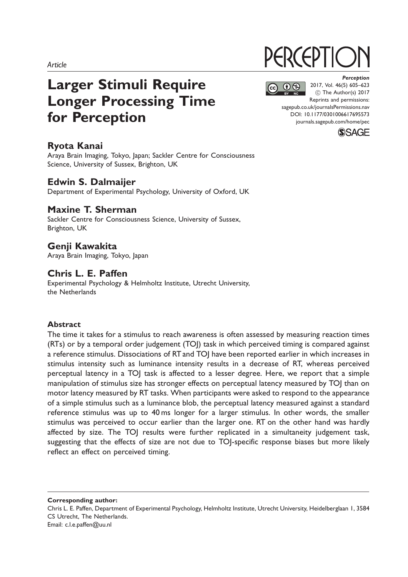# Larger Stimuli Require Longer Processing Time for Perception

# Ryota Kanai

Araya Brain Imaging, Tokyo, Japan; Sackler Centre for Consciousness Science, University of Sussex, Brighton, UK

## Edwin S. Dalmaijer

Department of Experimental Psychology, University of Oxford, UK

# Maxine T. Sherman

Sackler Centre for Consciousness Science, University of Sussex, Brighton, UK

# Genji Kawakita

Araya Brain Imaging, Tokyo, Japan

# Chris L. E. Paffen

Experimental Psychology & Helmholtz Institute, Utrecht University, the Netherlands

#### Abstract

The time it takes for a stimulus to reach awareness is often assessed by measuring reaction times (RTs) or by a temporal order judgement (TOJ) task in which perceived timing is compared against a reference stimulus. Dissociations of RT and TOJ have been reported earlier in which increases in stimulus intensity such as luminance intensity results in a decrease of RT, whereas perceived perceptual latency in a TOJ task is affected to a lesser degree. Here, we report that a simple manipulation of stimulus size has stronger effects on perceptual latency measured by TOJ than on motor latency measured by RT tasks. When participants were asked to respond to the appearance of a simple stimulus such as a luminance blob, the perceptual latency measured against a standard reference stimulus was up to 40 ms longer for a larger stimulus. In other words, the smaller stimulus was perceived to occur earlier than the larger one. RT on the other hand was hardly affected by size. The TOJ results were further replicated in a simultaneity judgement task, suggesting that the effects of size are not due to TOJ-specific response biases but more likely reflect an effect on perceived timing.

Corresponding author:

# **PERCEPTIC**

 $\bigcirc$   $\bigcirc$ 

**Perception** 2017, Vol. 46(5) 605–623 (C) The Author(s) 2017 Reprints and permissions: [sagepub.co.uk/journalsPermissions.nav](https://uk.sagepub.com/en-gb/journals-permissions) DOI: [10.1177/0301006617695573](https://doi.org/10.1177/0301006617695573) <journals.sagepub.com/home/pec>



Chris L. E. Paffen, Department of Experimental Psychology, Helmholtz Institute, Utrecht University, Heidelberglaan 1, 3584 CS Utrecht, The Netherlands. Email: c.l.e.paffen@uu.nl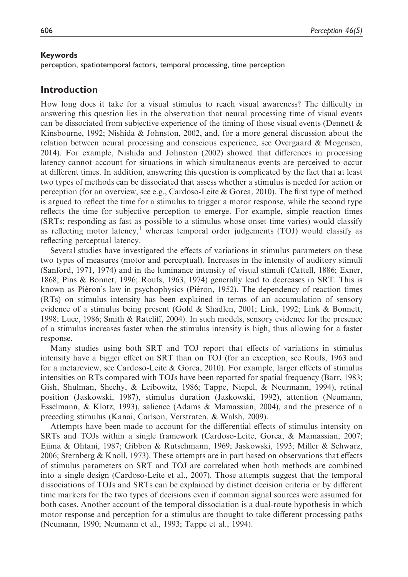#### Keywords

perception, spatiotemporal factors, temporal processing, time perception

#### Introduction

How long does it take for a visual stimulus to reach visual awareness? The difficulty in answering this question lies in the observation that neural processing time of visual events can be dissociated from subjective experience of the timing of those visual events (Dennett  $\&$ Kinsbourne, 1992; Nishida & Johnston, 2002, and, for a more general discussion about the relation between neural processing and conscious experience, see Overgaard & Mogensen, 2014). For example, Nishida and Johnston (2002) showed that differences in processing latency cannot account for situations in which simultaneous events are perceived to occur at different times. In addition, answering this question is complicated by the fact that at least two types of methods can be dissociated that assess whether a stimulus is needed for action or perception (for an overview, see e.g., Cardoso-Leite & Gorea, 2010). The first type of method is argued to reflect the time for a stimulus to trigger a motor response, while the second type reflects the time for subjective perception to emerge. For example, simple reaction times (SRTs; responding as fast as possible to a stimulus whose onset time varies) would classify as reflecting motor latency,<sup>1</sup> whereas temporal order judgements (TOJ) would classify as reflecting perceptual latency.

Several studies have investigated the effects of variations in stimulus parameters on these two types of measures (motor and perceptual). Increases in the intensity of auditory stimuli (Sanford, 1971, 1974) and in the luminance intensity of visual stimuli (Cattell, 1886; Exner, 1868; Pins & Bonnet, 1996; Roufs, 1963, 1974) generally lead to decreases in SRT. This is known as Piéron's law in psychophysics (Piéron, 1952). The dependency of reaction times (RTs) on stimulus intensity has been explained in terms of an accumulation of sensory evidence of a stimulus being present (Gold & Shadlen, 2001; Link, 1992; Link & Bonnett, 1998; Luce, 1986; Smith & Ratcliff, 2004). In such models, sensory evidence for the presence of a stimulus increases faster when the stimulus intensity is high, thus allowing for a faster response.

Many studies using both SRT and TOJ report that effects of variations in stimulus intensity have a bigger effect on SRT than on TOJ (for an exception, see Roufs, 1963 and for a metareview, see Cardoso-Leite & Gorea, 2010). For example, larger effects of stimulus intensities on RTs compared with TOJs have been reported for spatial frequency (Barr, 1983; Gish, Shulman, Sheehy, & Leibowitz, 1986; Tappe, Niepel, & Neurmann, 1994), retinal position (Jaskowski, 1987), stimulus duration (Jaskowski, 1992), attention (Neumann, Esselmann, & Klotz, 1993), salience (Adams & Mamassian, 2004), and the presence of a preceding stimulus (Kanai, Carlson, Verstraten, & Walsh, 2009).

Attempts have been made to account for the differential effects of stimulus intensity on SRTs and TOJs within a single framework (Cardoso-Leite, Gorea, & Mamassian, 2007; Ejima & Ohtani, 1987; Gibbon & Rutschmann, 1969; Jaskowski, 1993; Miller & Schwarz, 2006; Sternberg  $&$  Knoll, 1973). These attempts are in part based on observations that effects of stimulus parameters on SRT and TOJ are correlated when both methods are combined into a single design (Cardoso-Leite et al., 2007). Those attempts suggest that the temporal dissociations of TOJs and SRTs can be explained by distinct decision criteria or by different time markers for the two types of decisions even if common signal sources were assumed for both cases. Another account of the temporal dissociation is a dual-route hypothesis in which motor response and perception for a stimulus are thought to take different processing paths (Neumann, 1990; Neumann et al., 1993; Tappe et al., 1994).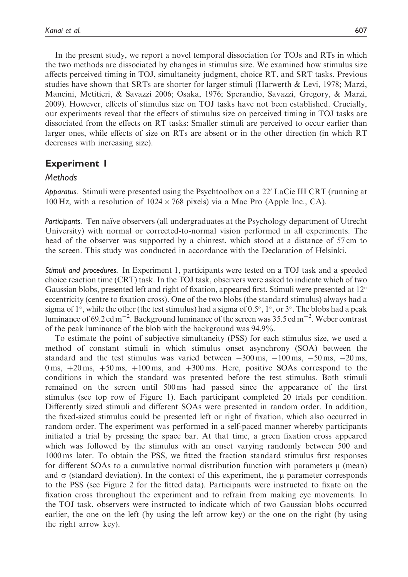In the present study, we report a novel temporal dissociation for TOJs and RTs in which the two methods are dissociated by changes in stimulus size. We examined how stimulus size affects perceived timing in TOJ, simultaneity judgment, choice RT, and SRT tasks. Previous studies have shown that SRTs are shorter for larger stimuli (Harwerth & Levi, 1978; Marzi, Mancini, Metitieri, & Savazzi 2006; Osaka, 1976; Sperandio, Savazzi, Gregory, & Marzi, 2009). However, effects of stimulus size on TOJ tasks have not been established. Crucially, our experiments reveal that the effects of stimulus size on perceived timing in TOJ tasks are dissociated from the effects on RT tasks: Smaller stimuli are perceived to occur earlier than larger ones, while effects of size on RTs are absent or in the other direction (in which RT decreases with increasing size).

# Experiment 1

#### **Methods**

Apparatus. Stimuli were presented using the Psychtoolbox on a  $22'$  LaCie III CRT (running at 100 Hz, with a resolution of  $1024 \times 768$  pixels) via a Mac Pro (Apple Inc., CA).

Participants. Ten naïve observers (all undergraduates at the Psychology department of Utrecht University) with normal or corrected-to-normal vision performed in all experiments. The head of the observer was supported by a chinrest, which stood at a distance of 57 cm to the screen. This study was conducted in accordance with the Declaration of Helsinki.

Stimuli and procedures. In Experiment 1, participants were tested on a TOJ task and a speeded choice reaction time (CRT) task. In the TOJ task, observers were asked to indicate which of two Gaussian blobs, presented left and right of fixation, appeared first. Stimuli were presented at  $12^{\circ}$ eccentricity (centre to fixation cross). One of the two blobs (the standard stimulus) always had a sigma of  $1^\circ$ , while the other (the test stimulus) had a sigma of 0.5°,  $1^\circ$ , or  $3^\circ$ . The blobs had a peak luminance of 69.2 cd m<sup>-2</sup>. Background luminance of the screen was 35.5 cd m<sup>-2</sup>. Weber contrast of the peak luminance of the blob with the background was 94.9%.

To estimate the point of subjective simultaneity (PSS) for each stimulus size, we used a method of constant stimuli in which stimulus onset asynchrony (SOA) between the standard and the test stimulus was varied between  $-300 \text{ ms}$ ,  $-100 \text{ ms}$ ,  $-50 \text{ ms}$ ,  $-20 \text{ ms}$ , 0 ms,  $+20$  ms,  $+50$  ms,  $+100$  ms, and  $+300$  ms. Here, positive SOAs correspond to the conditions in which the standard was presented before the test stimulus. Both stimuli remained on the screen until 500 ms had passed since the appearance of the first stimulus (see top row of Figure 1). Each participant completed 20 trials per condition. Differently sized stimuli and different SOAs were presented in random order. In addition, the fixed-sized stimulus could be presented left or right of fixation, which also occurred in random order. The experiment was performed in a self-paced manner whereby participants initiated a trial by pressing the space bar. At that time, a green fixation cross appeared which was followed by the stimulus with an onset varying randomly between 500 and 1000 ms later. To obtain the PSS, we fitted the fraction standard stimulus first responses for different SOAs to a cumulative normal distribution function with parameters  $\mu$  (mean) and  $\sigma$  (standard deviation). In the context of this experiment, the  $\mu$  parameter corresponds to the PSS (see Figure 2 for the fitted data). Participants were instructed to fixate on the fixation cross throughout the experiment and to refrain from making eye movements. In the TOJ task, observers were instructed to indicate which of two Gaussian blobs occurred earlier, the one on the left (by using the left arrow key) or the one on the right (by using the right arrow key).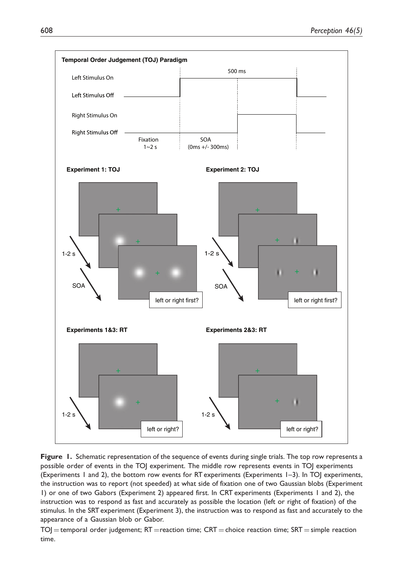

Figure 1. Schematic representation of the sequence of events during single trials. The top row represents a possible order of events in the TOJ experiment. The middle row represents events in TOJ experiments (Experiments 1 and 2), the bottom row events for RT experiments (Experiments 1–3). In TOJ experiments, the instruction was to report (not speeded) at what side of fixation one of two Gaussian blobs (Experiment 1) or one of two Gabors (Experiment 2) appeared first. In CRT experiments (Experiments 1 and 2), the instruction was to respond as fast and accurately as possible the location (left or right of fixation) of the stimulus. In the SRT experiment (Experiment 3), the instruction was to respond as fast and accurately to the appearance of a Gaussian blob or Gabor.

 $TO$ ] = temporal order judgement; RT = reaction time; CRT = choice reaction time; SRT = simple reaction time.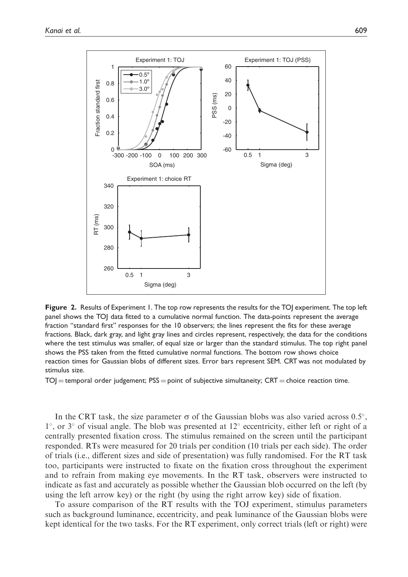

Figure 2. Results of Experiment 1. The top row represents the results for the TOJ experiment. The top left panel shows the TOJ data fitted to a cumulative normal function. The data-points represent the average fraction ''standard first'' responses for the 10 observers; the lines represent the fits for these average fractions. Black, dark gray, and light gray lines and circles represent, respectively, the data for the conditions where the test stimulus was smaller, of equal size or larger than the standard stimulus. The top right panel shows the PSS taken from the fitted cumulative normal functions. The bottom row shows choice reaction times for Gaussian blobs of different sizes. Error bars represent SEM. CRT was not modulated by stimulus size.

 $TO$  = temporal order judgement;  $PSS =$  point of subjective simultaneity;  $CRT =$  choice reaction time.

In the CRT task, the size parameter  $\sigma$  of the Gaussian blobs was also varied across 0.5°,  $1^{\circ}$ , or  $3^{\circ}$  of visual angle. The blob was presented at  $12^{\circ}$  eccentricity, either left or right of a centrally presented fixation cross. The stimulus remained on the screen until the participant responded. RTs were measured for 20 trials per condition (10 trials per each side). The order of trials (i.e., different sizes and side of presentation) was fully randomised. For the RT task too, participants were instructed to fixate on the fixation cross throughout the experiment and to refrain from making eye movements. In the RT task, observers were instructed to indicate as fast and accurately as possible whether the Gaussian blob occurred on the left (by using the left arrow key) or the right (by using the right arrow key) side of fixation.

To assure comparison of the RT results with the TOJ experiment, stimulus parameters such as background luminance, eccentricity, and peak luminance of the Gaussian blobs were kept identical for the two tasks. For the RT experiment, only correct trials (left or right) were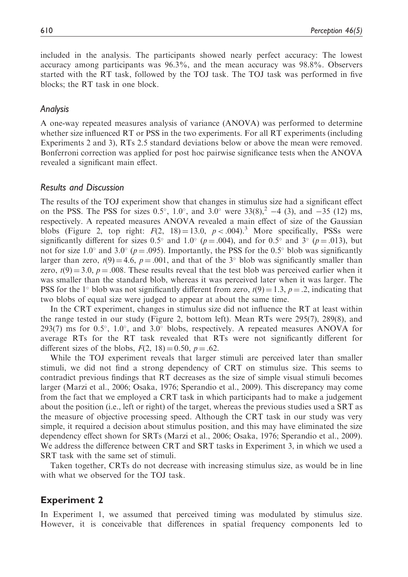included in the analysis. The participants showed nearly perfect accuracy: The lowest accuracy among participants was 96.3%, and the mean accuracy was 98.8%. Observers started with the RT task, followed by the TOJ task. The TOJ task was performed in five blocks; the RT task in one block.

#### Analysis

A one-way repeated measures analysis of variance (ANOVA) was performed to determine whether size influenced RT or PSS in the two experiments. For all RT experiments (including Experiments 2 and 3), RTs 2.5 standard deviations below or above the mean were removed. Bonferroni correction was applied for post hoc pairwise significance tests when the ANOVA revealed a significant main effect.

#### Results and Discussion

The results of the TOJ experiment show that changes in stimulus size had a significant effect on the PSS. The PSS for sizes 0.5°, 1.0°, and 3.0° were  $33(8)$ ,  $^{2}$  -4 (3), and -35 (12) ms, respectively. A repeated measures ANOVA revealed a main effect of size of the Gaussian blobs (Figure 2, top right:  $F(2, 18) = 13.0$ ,  $p < .004$ ).<sup>3</sup> More specifically, PSSs were significantly different for sizes 0.5° and 1.0° ( $p = .004$ ), and for 0.5° and 3° ( $p = .013$ ), but not for size 1.0° and 3.0° ( $p = .095$ ). Importantly, the PSS for the 0.5° blob was significantly larger than zero,  $t(9) = 4.6$ ,  $p = .001$ , and that of the 3<sup>°</sup> blob was significantly smaller than zero,  $t(9) = 3.0$ ,  $p = .008$ . These results reveal that the test blob was perceived earlier when it was smaller than the standard blob, whereas it was perceived later when it was larger. The PSS for the 1<sup>°</sup> blob was not significantly different from zero,  $t(9) = 1.3$ ,  $p = .2$ , indicating that two blobs of equal size were judged to appear at about the same time.

In the CRT experiment, changes in stimulus size did not influence the RT at least within the range tested in our study (Figure 2, bottom left). Mean RTs were 295(7), 289(8), and 293(7) ms for 0.5°,  $1.0^\circ$ , and  $3.0^\circ$  blobs, respectively. A repeated measures ANOVA for average RTs for the RT task revealed that RTs were not significantly different for different sizes of the blobs,  $F(2, 18) = 0.50$ ,  $p = .62$ .

While the TOJ experiment reveals that larger stimuli are perceived later than smaller stimuli, we did not find a strong dependency of CRT on stimulus size. This seems to contradict previous findings that RT decreases as the size of simple visual stimuli becomes larger (Marzi et al., 2006; Osaka, 1976; Sperandio et al., 2009). This discrepancy may come from the fact that we employed a CRT task in which participants had to make a judgement about the position (i.e., left or right) of the target, whereas the previous studies used a SRT as the measure of objective processing speed. Although the CRT task in our study was very simple, it required a decision about stimulus position, and this may have eliminated the size dependency effect shown for SRTs (Marzi et al., 2006; Osaka, 1976; Sperandio et al., 2009). We address the difference between CRT and SRT tasks in Experiment 3, in which we used a SRT task with the same set of stimuli.

Taken together, CRTs do not decrease with increasing stimulus size, as would be in line with what we observed for the TOJ task.

#### Experiment 2

In Experiment 1, we assumed that perceived timing was modulated by stimulus size. However, it is conceivable that differences in spatial frequency components led to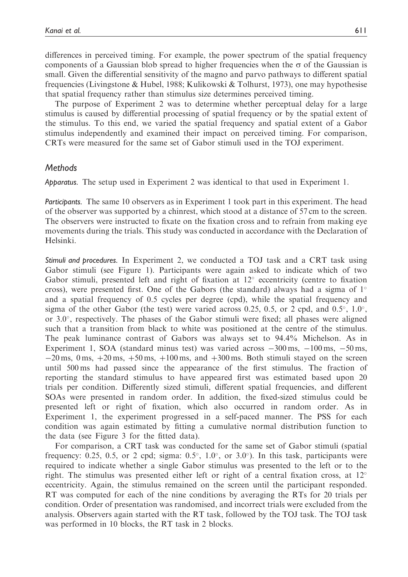differences in perceived timing. For example, the power spectrum of the spatial frequency components of a Gaussian blob spread to higher frequencies when the  $\sigma$  of the Gaussian is small. Given the differential sensitivity of the magno and parvo pathways to different spatial frequencies (Livingstone & Hubel, 1988; Kulikowski & Tolhurst, 1973), one may hypothesise that spatial frequency rather than stimulus size determines perceived timing.

The purpose of Experiment 2 was to determine whether perceptual delay for a large stimulus is caused by differential processing of spatial frequency or by the spatial extent of the stimulus. To this end, we varied the spatial frequency and spatial extent of a Gabor stimulus independently and examined their impact on perceived timing. For comparison, CRTs were measured for the same set of Gabor stimuli used in the TOJ experiment.

#### **Methods**

Apparatus. The setup used in Experiment 2 was identical to that used in Experiment 1.

Participants. The same 10 observers as in Experiment 1 took part in this experiment. The head of the observer was supported by a chinrest, which stood at a distance of 57 cm to the screen. The observers were instructed to fixate on the fixation cross and to refrain from making eye movements during the trials. This study was conducted in accordance with the Declaration of Helsinki.

Stimuli and procedures. In Experiment 2, we conducted a TOJ task and a CRT task using Gabor stimuli (see Figure 1). Participants were again asked to indicate which of two Gabor stimuli, presented left and right of fixation at  $12^{\circ}$  eccentricity (centre to fixation cross), were presented first. One of the Gabors (the standard) always had a sigma of  $1^{\circ}$ and a spatial frequency of 0.5 cycles per degree (cpd), while the spatial frequency and sigma of the other Gabor (the test) were varied across 0.25, 0.5, or 2 cpd, and  $0.5^{\circ}$ ,  $1.0^{\circ}$ , or  $3.0^{\circ}$ , respectively. The phases of the Gabor stimuli were fixed; all phases were aligned such that a transition from black to white was positioned at the centre of the stimulus. The peak luminance contrast of Gabors was always set to 94.4% Michelson. As in Experiment 1, SOA (standard minus test) was varied across  $-300 \text{ ms}$ ,  $-100 \text{ ms}$ ,  $-50 \text{ ms}$ ,  $-20$  ms,  $0$  ms,  $+20$  ms,  $+50$  ms,  $+100$  ms, and  $+300$  ms. Both stimuli stayed on the screen until 500 ms had passed since the appearance of the first stimulus. The fraction of reporting the standard stimulus to have appeared first was estimated based upon 20 trials per condition. Differently sized stimuli, different spatial frequencies, and different SOAs were presented in random order. In addition, the fixed-sized stimulus could be presented left or right of fixation, which also occurred in random order. As in Experiment 1, the experiment progressed in a self-paced manner. The PSS for each condition was again estimated by fitting a cumulative normal distribution function to the data (see Figure 3 for the fitted data).

For comparison, a CRT task was conducted for the same set of Gabor stimuli (spatial frequency: 0.25, 0.5, or 2 cpd; sigma:  $0.5^{\circ}$ ,  $1.0^{\circ}$ , or  $3.0^{\circ}$ ). In this task, participants were required to indicate whether a single Gabor stimulus was presented to the left or to the right. The stimulus was presented either left or right of a central fixation cross, at  $12^{\circ}$ eccentricity. Again, the stimulus remained on the screen until the participant responded. RT was computed for each of the nine conditions by averaging the RTs for 20 trials per condition. Order of presentation was randomised, and incorrect trials were excluded from the analysis. Observers again started with the RT task, followed by the TOJ task. The TOJ task was performed in 10 blocks, the RT task in 2 blocks.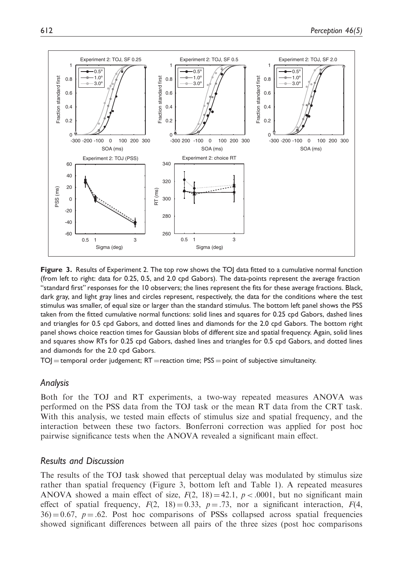

Figure 3. Results of Experiment 2. The top row shows the TOJ data fitted to a cumulative normal function (from left to right: data for 0.25, 0.5, and 2.0 cpd Gabors). The data-points represent the average fraction ''standard first'' responses for the 10 observers; the lines represent the fits for these average fractions. Black, dark gray, and light gray lines and circles represent, respectively, the data for the conditions where the test stimulus was smaller, of equal size or larger than the standard stimulus. The bottom left panel shows the PSS taken from the fitted cumulative normal functions: solid lines and squares for 0.25 cpd Gabors, dashed lines and triangles for 0.5 cpd Gabors, and dotted lines and diamonds for the 2.0 cpd Gabors. The bottom right panel shows choice reaction times for Gaussian blobs of different size and spatial frequency. Again, solid lines and squares show RTs for 0.25 cpd Gabors, dashed lines and triangles for 0.5 cpd Gabors, and dotted lines and diamonds for the 2.0 cpd Gabors.

 $TOJ =$  temporal order judgement;  $RT =$  reaction time;  $PSS =$  point of subjective simultaneity.

#### Analysis

Both for the TOJ and RT experiments, a two-way repeated measures ANOVA was performed on the PSS data from the TOJ task or the mean RT data from the CRT task. With this analysis, we tested main effects of stimulus size and spatial frequency, and the interaction between these two factors. Bonferroni correction was applied for post hoc pairwise significance tests when the ANOVA revealed a significant main effect.

#### Results and Discussion

The results of the TOJ task showed that perceptual delay was modulated by stimulus size rather than spatial frequency (Figure 3, bottom left and Table 1). A repeated measures ANOVA showed a main effect of size,  $F(2, 18) = 42.1$ ,  $p < .0001$ , but no significant main effect of spatial frequency,  $F(2, 18) = 0.33$ ,  $p = .73$ , nor a significant interaction,  $F(4, 18) = 0.33$  $36$ ) = 0.67, p = .62. Post hoc comparisons of PSSs collapsed across spatial frequencies showed significant differences between all pairs of the three sizes (post hoc comparisons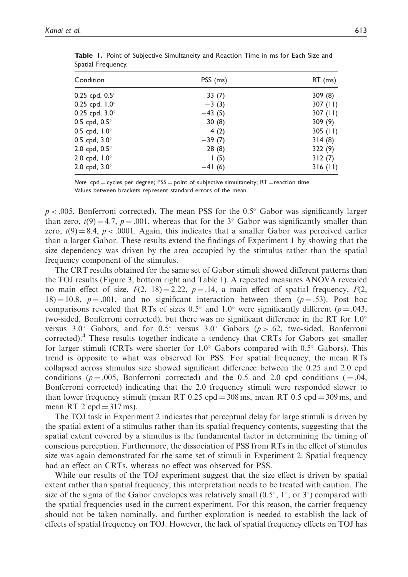| Condition               | PSS (ms) | $RT$ (ms)  |
|-------------------------|----------|------------|
| 0.25 cpd, $0.5^{\circ}$ | 33(7)    | 309(8)     |
| 0.25 cpd, $1.0^{\circ}$ | $-3(3)$  | 307 $(11)$ |
| 0.25 cpd, $3.0^{\circ}$ | $-43(5)$ | 307(11)    |
| 0.5 cpd, $0.5^{\circ}$  | 30(8)    | 309(9)     |
| 0.5 cpd, $1.0^{\circ}$  | 4(2)     | $305$ (11) |
| 0.5 cpd, $3.0^{\circ}$  | $-39(7)$ | 314(8)     |
| 2.0 cpd, $0.5^{\circ}$  | 28(8)    | 322 (9)    |
| 2.0 cpd, $1.0^{\circ}$  | 1(5)     | 312(7)     |
| 2.0 cpd, $3.0^{\circ}$  | $-41(6)$ | 316(11)    |

Table 1. Point of Subjective Simultaneity and Reaction Time in ms for Each Size and Spatial Frequency.

Note. cpd = cycles per degree;  $PSS =$  point of subjective simultaneity;  $RT =$  reaction time. Values between brackets represent standard errors of the mean.

 $p < .005$ , Bonferroni corrected). The mean PSS for the 0.5° Gabor was significantly larger than zero,  $t(9) = 4.7$ ,  $p = .001$ , whereas that for the 3° Gabor was significantly smaller than zero,  $t(9) = 8.4$ ,  $p < .0001$ . Again, this indicates that a smaller Gabor was perceived earlier than a larger Gabor. These results extend the findings of Experiment 1 by showing that the size dependency was driven by the area occupied by the stimulus rather than the spatial frequency component of the stimulus.

The CRT results obtained for the same set of Gabor stimuli showed different patterns than the TOJ results (Figure 3, bottom right and Table 1). A repeated measures ANOVA revealed no main effect of size,  $F(2, 18) = 2.22$ ,  $p = .14$ , a main effect of spatial frequency,  $F(2, 18) = 2.22$ ,  $p = .14$ , a main effect of spatial frequency,  $F(2, 18) = 2.22$  $18) = 10.8$ ,  $p = .001$ , and no significant interaction between them ( $p = .53$ ). Post hoc comparisons revealed that RTs of sizes 0.5° and 1.0° were significantly different ( $p = .043$ , two-sided, Bonferroni corrected), but there was no significant difference in the RT for 1.0 versus 3.0° Gabors, and for 0.5° versus 3.0° Gabors ( $p > .62$ , two-sided, Bonferroni corrected).<sup>4</sup> These results together indicate a tendency that CRTs for Gabors get smaller for larger stimuli (CRTs were shorter for  $1.0^{\circ}$  Gabors compared with  $0.5^{\circ}$  Gabors). This trend is opposite to what was observed for PSS. For spatial frequency, the mean RTs collapsed across stimulus size showed significant difference between the 0.25 and 2.0 cpd conditions ( $p = .005$ , Bonferroni corrected) and the 0.5 and 2.0 cpd conditions ( $= .04$ , Bonferroni corrected) indicating that the 2.0 frequency stimuli were responded slower to than lower frequency stimuli (mean RT 0.25 cpd = 308 ms, mean RT 0.5 cpd = 309 ms, and mean RT 2  $cpd = 317$  ms).

The TOJ task in Experiment 2 indicates that perceptual delay for large stimuli is driven by the spatial extent of a stimulus rather than its spatial frequency contents, suggesting that the spatial extent covered by a stimulus is the fundamental factor in determining the timing of conscious perception. Furthermore, the dissociation of PSS from RTs in the effect of stimulus size was again demonstrated for the same set of stimuli in Experiment 2. Spatial frequency had an effect on CRTs, whereas no effect was observed for PSS.

While our results of the TOJ experiment suggest that the size effect is driven by spatial extent rather than spatial frequency, this interpretation needs to be treated with caution. The size of the sigma of the Gabor envelopes was relatively small  $(0.5^{\circ}, 1^{\circ}, \text{or } 3^{\circ})$  compared with the spatial frequencies used in the current experiment. For this reason, the carrier frequency should not be taken nominally, and further exploration is needed to establish the lack of effects of spatial frequency on TOJ. However, the lack of spatial frequency effects on TOJ has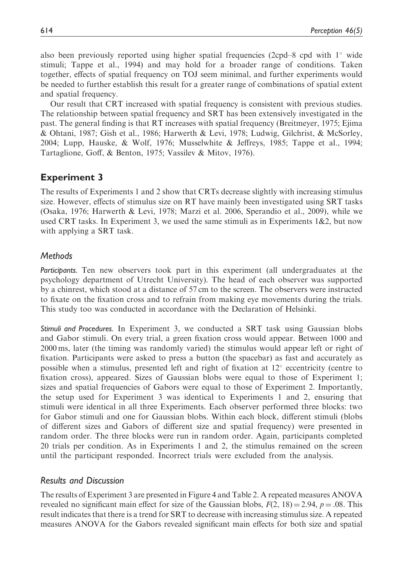also been previously reported using higher spatial frequencies (2cpd–8 cpd with  $1^\circ$  wide stimuli; Tappe et al., 1994) and may hold for a broader range of conditions. Taken together, effects of spatial frequency on TOJ seem minimal, and further experiments would be needed to further establish this result for a greater range of combinations of spatial extent and spatial frequency.

Our result that CRT increased with spatial frequency is consistent with previous studies. The relationship between spatial frequency and SRT has been extensively investigated in the past. The general finding is that RT increases with spatial frequency (Breitmeyer, 1975; Ejima & Ohtani, 1987; Gish et al., 1986; Harwerth & Levi, 1978; Ludwig, Gilchrist, & McSorley, 2004; Lupp, Hauske, & Wolf, 1976; Musselwhite & Jeffreys, 1985; Tappe et al., 1994; Tartaglione, Goff, & Benton, 1975; Vassilev & Mitov, 1976).

# Experiment 3

The results of Experiments 1 and 2 show that CRTs decrease slightly with increasing stimulus size. However, effects of stimulus size on RT have mainly been investigated using SRT tasks (Osaka, 1976; Harwerth & Levi, 1978; Marzi et al. 2006, Sperandio et al., 2009), while we used CRT tasks. In Experiment 3, we used the same stimuli as in Experiments  $1\&2$ , but now with applying a SRT task.

## **Methods**

Participants. Ten new observers took part in this experiment (all undergraduates at the psychology department of Utrecht University). The head of each observer was supported by a chinrest, which stood at a distance of 57 cm to the screen. The observers were instructed to fixate on the fixation cross and to refrain from making eye movements during the trials. This study too was conducted in accordance with the Declaration of Helsinki.

Stimuli and Procedures. In Experiment 3, we conducted a SRT task using Gaussian blobs and Gabor stimuli. On every trial, a green fixation cross would appear. Between 1000 and 2000 ms, later (the timing was randomly varied) the stimulus would appear left or right of fixation. Participants were asked to press a button (the spacebar) as fast and accurately as possible when a stimulus, presented left and right of fixation at  $12^{\circ}$  eccentricity (centre to fixation cross), appeared. Sizes of Gaussian blobs were equal to those of Experiment 1; sizes and spatial frequencies of Gabors were equal to those of Experiment 2. Importantly, the setup used for Experiment 3 was identical to Experiments 1 and 2, ensuring that stimuli were identical in all three Experiments. Each observer performed three blocks: two for Gabor stimuli and one for Gaussian blobs. Within each block, different stimuli (blobs of different sizes and Gabors of different size and spatial frequency) were presented in random order. The three blocks were run in random order. Again, participants completed 20 trials per condition. As in Experiments 1 and 2, the stimulus remained on the screen until the participant responded. Incorrect trials were excluded from the analysis.

#### Results and Discussion

The results of Experiment 3 are presented in Figure 4 and Table 2. A repeated measures ANOVA revealed no significant main effect for size of the Gaussian blobs,  $F(2, 18) = 2.94$ ,  $p = .08$ . This result indicates that there is a trend for SRT to decrease with increasing stimulus size. A repeated measures ANOVA for the Gabors revealed significant main effects for both size and spatial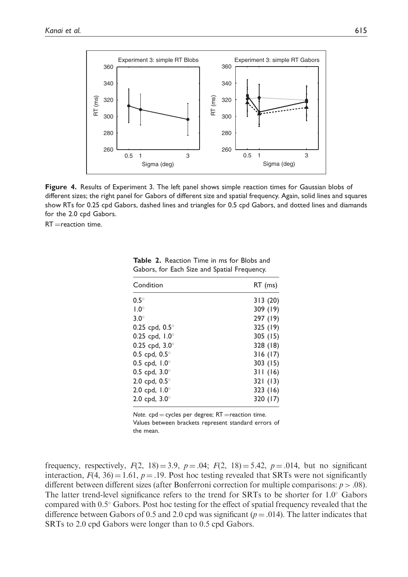

Figure 4. Results of Experiment 3. The left panel shows simple reaction times for Gaussian blobs of different sizes; the right panel for Gabors of different size and spatial frequency. Again, solid lines and squares show RTs for 0.25 cpd Gabors, dashed lines and triangles for 0.5 cpd Gabors, and dotted lines and diamands for the 2.0 cpd Gabors.

 $RT =$ reaction time.

| Condition               | RT (ms)  |
|-------------------------|----------|
| $0.5^\circ$             | 313(20)  |
| $1.0^\circ$             | 309 (19) |
| $3.0^\circ$             | 297 (19) |
| 0.25 cpd, $0.5^{\circ}$ | 325 (19) |
| 0.25 cpd, $1.0^{\circ}$ | 305(15)  |
| 0.25 cpd, $3.0^{\circ}$ | 328 (18) |
| 0.5 cpd, $0.5^{\circ}$  | 316(17)  |
| 0.5 cpd, $1.0^{\circ}$  | 303(15)  |
| 0.5 cpd, $3.0^{\circ}$  | 311(16)  |
| 2.0 cpd, $0.5^{\circ}$  | 321(13)  |
| 2.0 cpd, $1.0^{\circ}$  | 323(16)  |
| 2.0 cpd, $3.0^{\circ}$  | 320 (17) |

Table 2. Reaction Time in ms for Blobs and Gabors, for Each Size and Spatial Frequency.

Note.  $cpd = cycles$  per degree;  $RT =$ reaction time. Values between brackets represent standard errors of the mean.

frequency, respectively,  $F(2, 18) = 3.9$ ,  $p = .04$ ;  $F(2, 18) = 5.42$ ,  $p = .014$ , but no significant interaction,  $F(4, 36) = 1.61$ ,  $p = .19$ . Post hoc testing revealed that SRTs were not significantly different between different sizes (after Bonferroni correction for multiple comparisons:  $p > .08$ ). The latter trend-level significance refers to the trend for SRTs to be shorter for  $1.0^{\circ}$  Gabors compared with  $0.5^{\circ}$  Gabors. Post hoc testing for the effect of spatial frequency revealed that the difference between Gabors of 0.5 and 2.0 cpd was significant ( $p = .014$ ). The latter indicates that SRTs to 2.0 cpd Gabors were longer than to 0.5 cpd Gabors.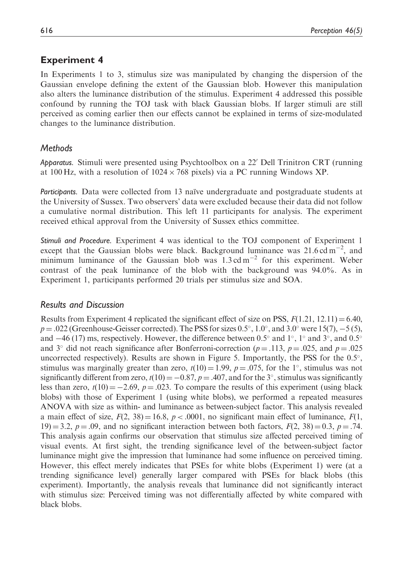# Experiment 4

In Experiments 1 to 3, stimulus size was manipulated by changing the dispersion of the Gaussian envelope defining the extent of the Gaussian blob. However this manipulation also alters the luminance distribution of the stimulus. Experiment 4 addressed this possible confound by running the TOJ task with black Gaussian blobs. If larger stimuli are still perceived as coming earlier then our effects cannot be explained in terms of size-modulated changes to the luminance distribution.

# Methods

Apparatus. Stimuli were presented using Psychtoolbox on a 22' Dell Trinitron CRT (running at 100 Hz, with a resolution of  $1024 \times 768$  pixels) via a PC running Windows XP.

Participants. Data were collected from 13 naïve undergraduate and postgraduate students at the University of Sussex. Two observers' data were excluded because their data did not follow a cumulative normal distribution. This left 11 participants for analysis. The experiment received ethical approval from the University of Sussex ethics committee.

Stimuli and Procedure. Experiment 4 was identical to the TOJ component of Experiment 1 except that the Gaussian blobs were black. Background luminance was  $21.6 \text{ cd m}^{-2}$ , and minimum luminance of the Gaussian blob was  $1.3 \text{ cd m}^{-2}$  for this experiment. Weber contrast of the peak luminance of the blob with the background was 94.0%. As in Experiment 1, participants performed 20 trials per stimulus size and SOA.

# Results and Discussion

Results from Experiment 4 replicated the significant effect of size on PSS,  $F(1.21, 12.11) = 6.40$ ,  $p = .022$  (Greenhouse-Geisser corrected). The PSS for sizes 0.5°, 1.0°, and 3.0° were 15(7), -5 (5), and  $-46$  (17) ms, respectively. However, the difference between 0.5° and 1°, 1° and 3°, and 0.5° and 3° did not reach significance after Bonferroni-correction ( $p = .113$ ,  $p = .025$ , and  $p = .025$ uncorrected respectively). Results are shown in Figure 5. Importantly, the PSS for the  $0.5^{\circ}$ , stimulus was marginally greater than zero,  $t(10) = 1.99$ ,  $p = .075$ , for the 1°, stimulus was not significantly different from zero,  $t(10) = -0.87$ ,  $p = .407$ , and for the 3°, stimulus was significantly less than zero,  $t(10) = -2.69$ ,  $p = .023$ . To compare the results of this experiment (using black blobs) with those of Experiment 1 (using white blobs), we performed a repeated measures ANOVA with size as within- and luminance as between-subject factor. This analysis revealed a main effect of size,  $F(2, 38) = 16.8$ ,  $p < .0001$ , no significant main effect of luminance,  $F(1, 16)$ 19) = 3.2,  $p = .09$ , and no significant interaction between both factors,  $F(2, 38) = 0.3$ ,  $p = .74$ . This analysis again confirms our observation that stimulus size affected perceived timing of visual events. At first sight, the trending significance level of the between-subject factor luminance might give the impression that luminance had some influence on perceived timing. However, this effect merely indicates that PSEs for white blobs (Experiment 1) were (at a trending significance level) generally larger compared with PSEs for black blobs (this experiment). Importantly, the analysis reveals that luminance did not significantly interact with stimulus size: Perceived timing was not differentially affected by white compared with black blobs.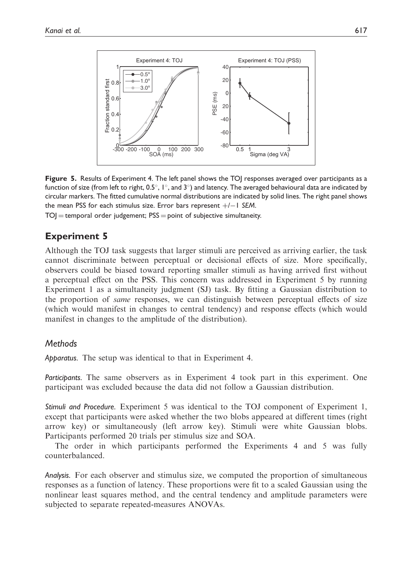

Figure 5. Results of Experiment 4. The left panel shows the TOJ responses averaged over participants as a function of size (from left to right,  $0.5^{\circ}$ ,  $1^{\circ}$ , and  $3^{\circ}$ ) and latency. The averaged behavioural data are indicated by circular markers. The fitted cumulative normal distributions are indicated by solid lines. The right panel shows the mean PSS for each stimulus size. Error bars represent  $+/-1$  SEM.

 $TO$  = temporal order judgement;  $PSS =$  point of subjective simultaneity.

# Experiment 5

Although the TOJ task suggests that larger stimuli are perceived as arriving earlier, the task cannot discriminate between perceptual or decisional effects of size. More specifically, observers could be biased toward reporting smaller stimuli as having arrived first without a perceptual effect on the PSS. This concern was addressed in Experiment 5 by running Experiment 1 as a simultaneity judgment (SJ) task. By fitting a Gaussian distribution to the proportion of same responses, we can distinguish between perceptual effects of size (which would manifest in changes to central tendency) and response effects (which would manifest in changes to the amplitude of the distribution).

#### **Methods**

Apparatus. The setup was identical to that in Experiment 4.

Participants. The same observers as in Experiment 4 took part in this experiment. One participant was excluded because the data did not follow a Gaussian distribution.

Stimuli and Procedure. Experiment 5 was identical to the TOJ component of Experiment 1, except that participants were asked whether the two blobs appeared at different times (right arrow key) or simultaneously (left arrow key). Stimuli were white Gaussian blobs. Participants performed 20 trials per stimulus size and SOA.

The order in which participants performed the Experiments 4 and 5 was fully counterbalanced.

Analysis. For each observer and stimulus size, we computed the proportion of simultaneous responses as a function of latency. These proportions were fit to a scaled Gaussian using the nonlinear least squares method, and the central tendency and amplitude parameters were subjected to separate repeated-measures ANOVAs.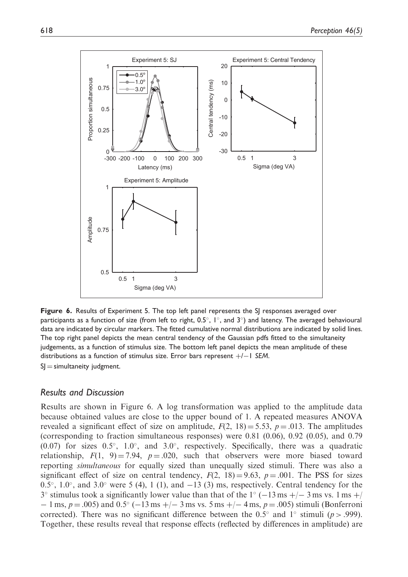

Figure 6. Results of Experiment 5. The top left panel represents the SJ responses averaged over participants as a function of size (from left to right,  $0.5^{\circ}$ ,  $1^{\circ}$ , and  $3^{\circ}$ ) and latency. The averaged behavioural data are indicated by circular markers. The fitted cumulative normal distributions are indicated by solid lines. The top right panel depicts the mean central tendency of the Gaussian pdfs fitted to the simultaneity judgements, as a function of stimulus size. The bottom left panel depicts the mean amplitude of these distributions as a function of stimulus size. Error bars represent  $+/-1$  SEM.  $S$  = simultaneity judgment.

#### Results and Discussion

Results are shown in Figure 6. A log transformation was applied to the amplitude data because obtained values are close to the upper bound of 1. A repeated measures ANOVA revealed a significant effect of size on amplitude,  $F(2, 18) = 5.53$ ,  $p = .013$ . The amplitudes (corresponding to fraction simultaneous responses) were 0.81 (0.06), 0.92 (0.05), and 0.79  $(0.07)$  for sizes  $0.5^{\circ}$ ,  $1.0^{\circ}$ , and  $3.0^{\circ}$ , respectively. Specifically, there was a quadratic relationship,  $F(1, 9) = 7.94$ ,  $p = .020$ , such that observers were more biased toward reporting simultaneous for equally sized than unequally sized stimuli. There was also a significant effect of size on central tendency,  $F(2, 18) = 9.63$ ,  $p = .001$ . The PSS for sizes  $0.5^{\circ}$ ,  $1.0^{\circ}$ , and  $3.0^{\circ}$  were 5 (4), 1 (1), and  $-13$  (3) ms, respectively. Central tendency for the  $3^{\circ}$  stimulus took a significantly lower value than that of the  $1^{\circ}$  (-13 ms +/-3 ms vs. 1 ms +/  $-1$  ms,  $p = .005$ ) and  $0.5^{\circ}$  ( $-13$  ms  $+/- 3$  ms vs. 5 ms  $+/- 4$  ms,  $p = .005$ ) stimuli (Bonferroni corrected). There was no significant difference between the 0.5° and 1° stimuli ( $p > .999$ ). Together, these results reveal that response effects (reflected by differences in amplitude) are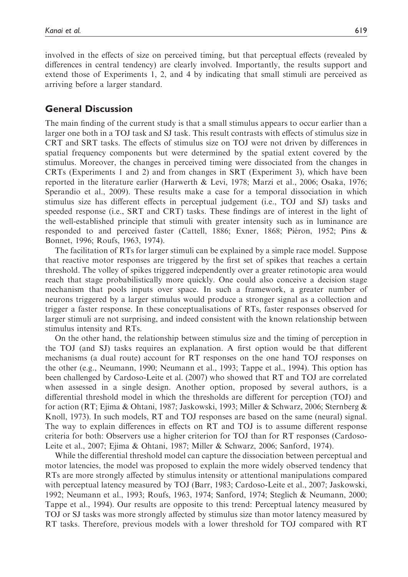involved in the effects of size on perceived timing, but that perceptual effects (revealed by differences in central tendency) are clearly involved. Importantly, the results support and extend those of Experiments 1, 2, and 4 by indicating that small stimuli are perceived as arriving before a larger standard.

## General Discussion

The main finding of the current study is that a small stimulus appears to occur earlier than a larger one both in a TOJ task and SJ task. This result contrasts with effects of stimulus size in CRT and SRT tasks. The effects of stimulus size on TOJ were not driven by differences in spatial frequency components but were determined by the spatial extent covered by the stimulus. Moreover, the changes in perceived timing were dissociated from the changes in CRTs (Experiments 1 and 2) and from changes in SRT (Experiment 3), which have been reported in the literature earlier (Harwerth & Levi, 1978; Marzi et al., 2006; Osaka, 1976; Sperandio et al., 2009). These results make a case for a temporal dissociation in which stimulus size has different effects in perceptual judgement (i.e., TOJ and SJ) tasks and speeded response (i.e., SRT and CRT) tasks. These findings are of interest in the light of the well-established principle that stimuli with greater intensity such as in luminance are responded to and perceived faster (Cattell, 1886; Exner, 1868; Piéron, 1952; Pins  $\&$ Bonnet, 1996; Roufs, 1963, 1974).

The facilitation of RTs for larger stimuli can be explained by a simple race model. Suppose that reactive motor responses are triggered by the first set of spikes that reaches a certain threshold. The volley of spikes triggered independently over a greater retinotopic area would reach that stage probabilistically more quickly. One could also conceive a decision stage mechanism that pools inputs over space. In such a framework, a greater number of neurons triggered by a larger stimulus would produce a stronger signal as a collection and trigger a faster response. In these conceptualisations of RTs, faster responses observed for larger stimuli are not surprising, and indeed consistent with the known relationship between stimulus intensity and RTs.

On the other hand, the relationship between stimulus size and the timing of perception in the TOJ (and SJ) tasks requires an explanation. A first option would be that different mechanisms (a dual route) account for RT responses on the one hand TOJ responses on the other (e.g., Neumann, 1990; Neumann et al., 1993; Tappe et al., 1994). This option has been challenged by Cardoso-Leite et al. (2007) who showed that RT and TOJ are correlated when assessed in a single design. Another option, proposed by several authors, is a differential threshold model in which the thresholds are different for perception (TOJ) and for action (RT; Ejima & Ohtani, 1987; Jaskowski, 1993; Miller & Schwarz, 2006; Sternberg & Knoll, 1973). In such models, RT and TOJ responses are based on the same (neural) signal. The way to explain differences in effects on RT and TOJ is to assume different response criteria for both: Observers use a higher criterion for TOJ than for RT responses (Cardoso-Leite et al., 2007; Ejima & Ohtani, 1987; Miller & Schwarz, 2006; Sanford, 1974).

While the differential threshold model can capture the dissociation between perceptual and motor latencies, the model was proposed to explain the more widely observed tendency that RTs are more strongly affected by stimulus intensity or attentional manipulations compared with perceptual latency measured by TOJ (Barr, 1983; Cardoso-Leite et al., 2007; Jaskowski, 1992; Neumann et al., 1993; Roufs, 1963, 1974; Sanford, 1974; Steglich & Neumann, 2000; Tappe et al., 1994). Our results are opposite to this trend: Perceptual latency measured by TOJ or SJ tasks was more strongly affected by stimulus size than motor latency measured by RT tasks. Therefore, previous models with a lower threshold for TOJ compared with RT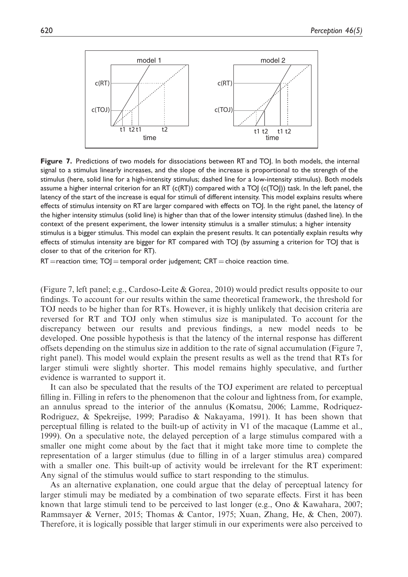

Figure 7. Predictions of two models for dissociations between RT and TOI. In both models, the internal signal to a stimulus linearly increases, and the slope of the increase is proportional to the strength of the stimulus (here, solid line for a high-intensity stimulus; dashed line for a low-intensity stimulus). Both models assume a higher internal criterion for an RT ( $c(RT)$ ) compared with a TOJ ( $c(TO)$ )) task. In the left panel, the latency of the start of the increase is equal for stimuli of different intensity. This model explains results where effects of stimulus intensity on RT are larger compared with effects on TOJ. In the right panel, the latency of the higher intensity stimulus (solid line) is higher than that of the lower intensity stimulus (dashed line). In the context of the present experiment, the lower intensity stimulus is a smaller stimulus; a higher intensity stimulus is a bigger stimulus. This model can explain the present results. It can potentially explain results why effects of stimulus intensity are bigger for RT compared with TOJ (by assuming a criterion for TOJ that is closer to that of the criterion for RT).

 $RT =$ reaction time;  $TO$   $=$  temporal order judgement;  $CRT =$  choice reaction time.

(Figure 7, left panel; e.g., Cardoso-Leite & Gorea, 2010) would predict results opposite to our findings. To account for our results within the same theoretical framework, the threshold for TOJ needs to be higher than for RTs. However, it is highly unlikely that decision criteria are reversed for RT and TOJ only when stimulus size is manipulated. To account for the discrepancy between our results and previous findings, a new model needs to be developed. One possible hypothesis is that the latency of the internal response has different offsets depending on the stimulus size in addition to the rate of signal accumulation (Figure 7, right panel). This model would explain the present results as well as the trend that RTs for larger stimuli were slightly shorter. This model remains highly speculative, and further evidence is warranted to support it.

It can also be speculated that the results of the TOJ experiment are related to perceptual filling in. Filling in refers to the phenomenon that the colour and lightness from, for example, an annulus spread to the interior of the annulus (Komatsu, 2006; Lamme, Rodriquez-Rodriguez, & Spekreijse, 1999; Paradiso & Nakayama, 1991). It has been shown that perceptual filling is related to the built-up of activity in V1 of the macaque (Lamme et al., 1999). On a speculative note, the delayed perception of a large stimulus compared with a smaller one might come about by the fact that it might take more time to complete the representation of a larger stimulus (due to filling in of a larger stimulus area) compared with a smaller one. This built-up of activity would be irrelevant for the RT experiment: Any signal of the stimulus would suffice to start responding to the stimulus.

As an alternative explanation, one could argue that the delay of perceptual latency for larger stimuli may be mediated by a combination of two separate effects. First it has been known that large stimuli tend to be perceived to last longer (e.g., Ono & Kawahara, 2007; Rammsayer & Verner, 2015; Thomas & Cantor, 1975; Xuan, Zhang, He, & Chen, 2007). Therefore, it is logically possible that larger stimuli in our experiments were also perceived to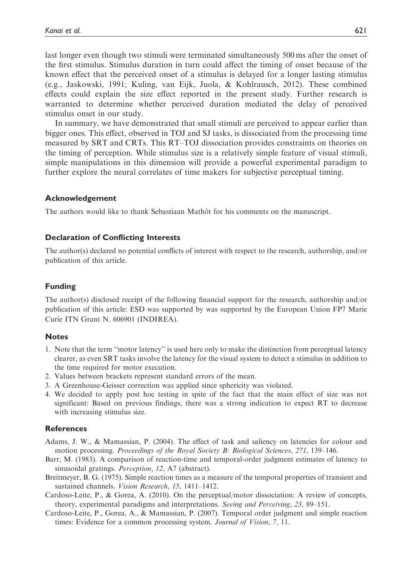last longer even though two stimuli were terminated simultaneously 500 ms after the onset of the first stimulus. Stimulus duration in turn could affect the timing of onset because of the known effect that the perceived onset of a stimulus is delayed for a longer lasting stimulus (e.g., Jaskowski, 1991; Kuling, van Eijk, Juola, & Kohlrausch, 2012). These combined effects could explain the size effect reported in the present study. Further research is warranted to determine whether perceived duration mediated the delay of perceived stimulus onset in our study.

In summary, we have demonstrated that small stimuli are perceived to appear earlier than bigger ones. This effect, observed in TOJ and SJ tasks, is dissociated from the processing time measured by SRT and CRTs. This RT–TOJ dissociation provides constraints on theories on the timing of perception. While stimulus size is a relatively simple feature of visual stimuli, simple manipulations in this dimension will provide a powerful experimental paradigm to further explore the neural correlates of time makers for subjective perceptual timing.

#### Acknowledgement

The authors would like to thank Sebastiaan Mathôt for his comments on the manuscript.

#### Declaration of Conflicting Interests

The author(s) declared no potential conflicts of interest with respect to the research, authorship, and/or publication of this article.

#### Funding

The author(s) disclosed receipt of the following financial support for the research, authorship and/or publication of this article: ESD was supported by was supported by the European Union FP7 Marie Curie ITN Grant N. 606901 (INDIREA).

#### **Notes**

- 1. Note that the term ''motor latency'' is used here only to make the distinction from perceptual latency clearer, as even SRT tasks involve the latency for the visual system to detect a stimulus in addition to the time required for motor execution.
- 2. Values between brackets represent standard errors of the mean.
- 3. A Greenhouse-Geisser correction was applied since sphericity was violated.
- 4. We decided to apply post hoc testing in spite of the fact that the main effect of size was not significant: Based on previous findings, there was a strong indication to expect RT to decrease with increasing stimulus size.

#### References

- Adams, J. W., & Mamassian, P. (2004). The effect of task and saliency on latencies for colour and motion processing. Proceedings of the Royal Society B: Biological Sciences, 271, 139–146.
- Barr, M. (1983). A comparison of reaction-time and temporal-order judgment estimates of latency to sinusoidal gratings. Perception, 12, A7 (abstract).
- Breitmeyer, B. G. (1975). Simple reaction times as a measure of the temporal properties of transient and sustained channels. Vision Research, 15, 1411–1412.
- Cardoso-Leite, P., & Gorea, A. (2010). On the perceptual/motor dissociation: A review of concepts, theory, experimental paradigms and interpretations. Seeing and Perceiving, 23, 89–151.
- Cardoso-Leite, P., Gorea, A., & Mamassian, P. (2007). Temporal order judgment and simple reaction times: Evidence for a common processing system. Journal of Vision, 7, 11.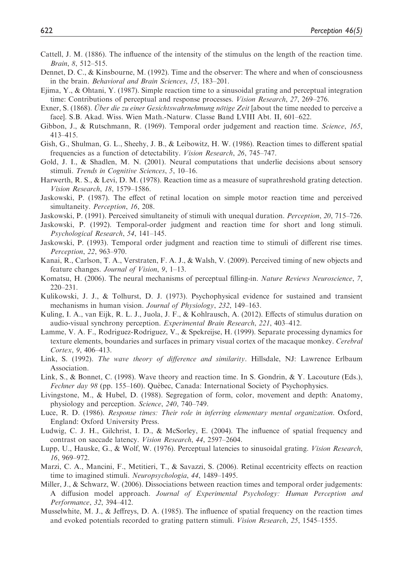- Cattell, J. M. (1886). The influence of the intensity of the stimulus on the length of the reaction time. Brain, 8, 512–515.
- Dennet, D. C., & Kinsbourne, M. (1992). Time and the observer: The where and when of consciousness in the brain. Behavioral and Brain Sciences, 15, 183–201.
- Ejima, Y., & Ohtani, Y. (1987). Simple reaction time to a sinusoidal grating and perceptual integration time: Contributions of perceptual and response processes. Vision Research, 27, 269–276.
- Exner, S. (1868). *Über die zu einer Gesichtswahrnehmung nötige Zeit* [about the time needed to perceive a face]. S.B. Akad. Wiss. Wien Math.-Naturw. Classe Band LVIII Abt. II, 601–622.
- Gibbon, J., & Rutschmann, R. (1969). Temporal order judgement and reaction time. Science, 165, 413–415.
- Gish, G., Shulman, G. L., Sheehy, J. B., & Leibowitz, H. W. (1986). Reaction times to different spatial frequencies as a function of detectability. Vision Research, 26, 745–747.
- Gold, J. I., & Shadlen, M. N. (2001). Neural computations that underlie decisions about sensory stimuli. Trends in Cognitive Sciences, 5, 10–16.
- Harwerth, R. S., & Levi, D. M. (1978). Reaction time as a measure of suprathreshold grating detection. Vision Research, 18, 1579–1586.
- Jaskowski, P. (1987). The effect of retinal location on simple motor reaction time and perceived simultaneity. Perception, 16, 208.
- Jaskowski, P. (1991). Perceived simultaneity of stimuli with unequal duration. Perception, 20, 715–726.
- Jaskowski, P. (1992). Temporal-order judgment and reaction time for short and long stimuli. Psychological Research, 54, 141–145.
- Jaskowski, P. (1993). Temporal order judgment and reaction time to stimuli of different rise times. Perception, 22, 963–970.
- Kanai, R., Carlson, T. A., Verstraten, F. A. J., & Walsh, V. (2009). Perceived timing of new objects and feature changes. Journal of Vision, 9, 1–13.
- Komatsu, H. (2006). The neural mechanisms of perceptual filling-in. Nature Reviews Neuroscience, 7, 220–231.
- Kulikowski, J. J., & Tolhurst, D. J. (1973). Psychophysical evidence for sustained and transient mechanisms in human vision. Journal of Physiology, 232, 149–163.
- Kuling, I. A., van Eijk, R. L. J., Juola, J. F., & Kohlrausch, A. (2012). Effects of stimulus duration on audio-visual synchrony perception. Experimental Brain Research, 221, 403–412.
- Lamme, V. A. F., Rodriguez-Rodriguez, V., & Spekreijse, H. (1999). Separate processing dynamics for texture elements, boundaries and surfaces in primary visual cortex of the macaque monkey. Cerebral Cortex, 9, 406–413.
- Link, S. (1992). The wave theory of difference and similarity. Hillsdale, NJ: Lawrence Erlbaum Association.
- Link, S., & Bonnet, C. (1998). Wave theory and reaction time. In S. Gondrin, & Y. Lacouture (Eds.), Fechner day 98 (pp. 155–160). Québec, Canada: International Society of Psychophysics.
- Livingstone, M., & Hubel, D. (1988). Segregation of form, color, movement and depth: Anatomy, physiology and perception. Science, 240, 740–749.
- Luce, R. D. (1986). Response times: Their role in inferring elementary mental organization. Oxford, England: Oxford University Press.
- Ludwig, C. J. H., Gilchrist, I. D., & McSorley, E. (2004). The influence of spatial frequency and contrast on saccade latency. Vision Research, 44, 2597–2604.
- Lupp, U., Hauske, G., & Wolf, W. (1976). Perceptual latencies to sinusoidal grating. Vision Research, 16, 969–972.
- Marzi, C. A., Mancini, F., Metitieri, T., & Savazzi, S. (2006). Retinal eccentricity effects on reaction time to imagined stimuli. Neuropsychologia, 44, 1489–1495.
- Miller, J., & Schwarz, W. (2006). Dissociations between reaction times and temporal order judgements: A diffusion model approach. Journal of Experimental Psychology: Human Perception and Performance, 32, 394–412.
- Musselwhite, M. J., & Jeffreys, D. A. (1985). The influence of spatial frequency on the reaction times and evoked potentials recorded to grating pattern stimuli. Vision Research, 25, 1545–1555.